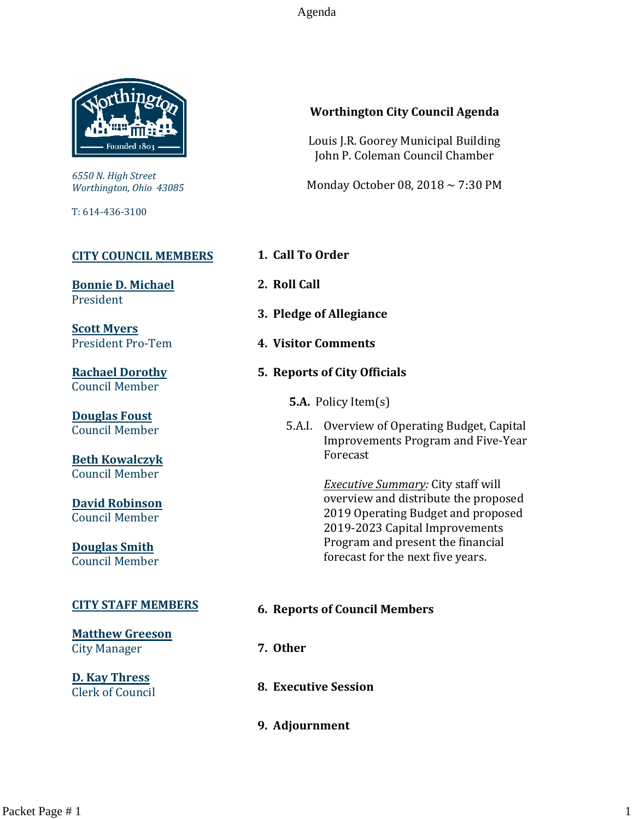Agenda



*6550 N. High Street Worthington, Ohio 43085*

T: 614-436-3100

#### **[CITY COUNCIL MEMBERS](mailto:CityCouncil@ci.worthington.oh.us?subject=Email%20from%20City%20Council%20Meeting%20Agenda%20Link)**

**[Bonnie D. Michael](mailto:bmichael@ci.worthington.oh.us?subject=Email%20from%20City%20Council%20Meeting%20Agenda%20Link)** President

**[Scott Myers](mailto:smyers@ci.worthington.oh.us?subject=Email%20from%20City%20Council%20Meeting%20Agenda%20Link)** President Pro-Tem

**[Rachael Dorothy](mailto:rdorothy@ci.worthington.oh.us?subject=Email%20from%20City%20Council%20Meeting%20Agenda%20Link)** Council Member

**[Douglas Foust](mailto:Doug.Foust@ci.worthington.oh.us?subject=Email%20from%20City%20Council%20Meeting%20Agenda%20Link)** Council Member

**[Beth Kowalczyk](mailto:BKowalczyk@ci.worthington.oh.us)** Council Member

**[David Robinson](mailto:DRobinson@ci.worthington.oh.us)** Council Member

**[Douglas Smith](mailto:DSmith@ci.worthington.oh.us?subject=Email%20from%20City%20Council%20Meeting%20Agenda%20Link)** Council Member

#### **[CITY STAFF MEMBERS](mailto:Council@ci.worthington.oh.us?subject=Email%20from%20City%20Council%20Meeting%20Agenda%20Link)**

**[Matthew Greeson](mailto:MGreeson@ci.worthington.oh.us?subject=Email%20from%20City%20Council%20Meeting%20Agenda%20Link)** City Manager

**[D. Kay Thress](mailto:DThress@ci.worthington.oh.us?subject=Email%20from%20City%20Council%20Meeting%20Agenda%20Link)** Clerk of Council

# **Worthington City Council Agenda**

Louis J.R. Goorey Municipal Building John P. Coleman Council Chamber

Monday October 08, 2018 ~ 7:30 PM

- **1. Call To Order**
- **2. Roll Call**
- **3. Pledge of Allegiance**
- **4. Visitor Comments**
- **5. Reports of City Officials**

**5.A.** Policy Item(s)

5.A.I. Overview of Operating Budget, Capital Improvements Program and Five-Year Forecast

> *Executive Summary:* City staff will overview and distribute the proposed 2019 Operating Budget and proposed 2019-2023 Capital Improvements Program and present the financial forecast for the next five years.

## **6. Reports of Council Members**

- **7. Other**
- **8. Executive Session**
- **9. Adjournment**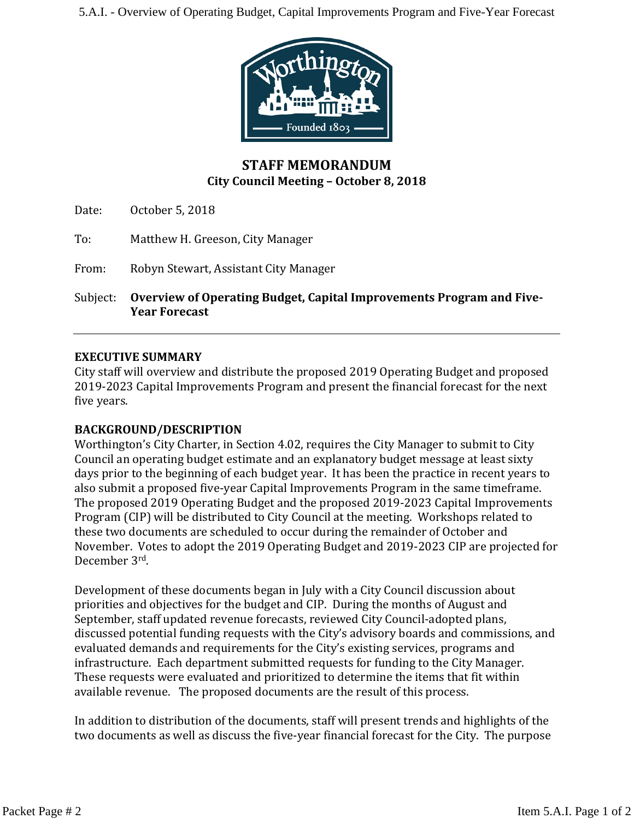5.A.I. - Overview of Operating Budget, Capital Improvements Program and Five-Year Forecast



# **STAFF MEMORANDUM City Council Meeting – October 8, 2018**

Date: October 5, 2018

To: Matthew H. Greeson, City Manager

From: Robyn Stewart, Assistant City Manager

Subject: **Overview of Operating Budget, Capital Improvements Program and Five-Year Forecast**

#### **EXECUTIVE SUMMARY**

City staff will overview and distribute the proposed 2019 Operating Budget and proposed 2019-2023 Capital Improvements Program and present the financial forecast for the next five years.

## **BACKGROUND/DESCRIPTION**

Worthington's City Charter, in Section 4.02, requires the City Manager to submit to City Council an operating budget estimate and an explanatory budget message at least sixty days prior to the beginning of each budget year. It has been the practice in recent years to also submit a proposed five-year Capital Improvements Program in the same timeframe. The proposed 2019 Operating Budget and the proposed 2019-2023 Capital Improvements Program (CIP) will be distributed to City Council at the meeting. Workshops related to these two documents are scheduled to occur during the remainder of October and November. Votes to adopt the 2019 Operating Budget and 2019-2023 CIP are projected for December 3rd .

Development of these documents began in July with a City Council discussion about priorities and objectives for the budget and CIP. During the months of August and September, staff updated revenue forecasts, reviewed City Council-adopted plans, discussed potential funding requests with the City's advisory boards and commissions, and evaluated demands and requirements for the City's existing services, programs and infrastructure. Each department submitted requests for funding to the City Manager. These requests were evaluated and prioritized to determine the items that fit within available revenue. The proposed documents are the result of this process.

In addition to distribution of the documents, staff will present trends and highlights of the two documents as well as discuss the five-year financial forecast for the City. The purpose